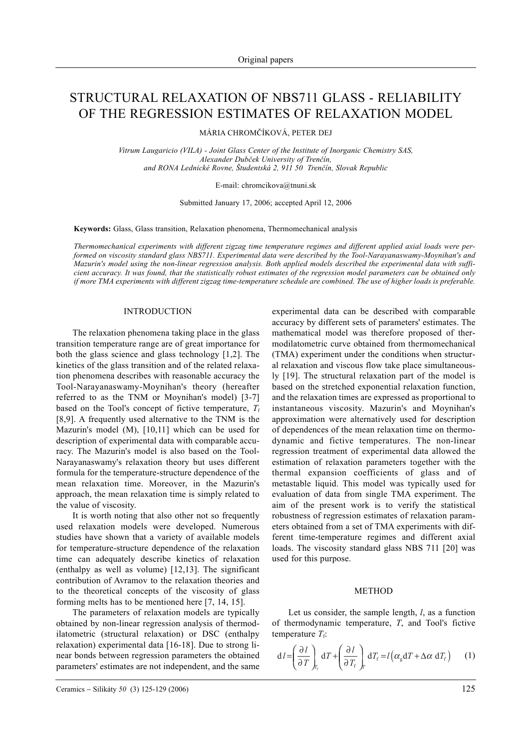# STRUCTURAL RELAXATION OF NBS711 GLASS - RELIABILITY OF THE REGRESSION ESTIMATES OF RELAXATION MODEL

MÁRIA CHROMÈÍKOVÁ, PETER DEJ

*Vitrum Laugaricio (VILA) - Joint Glass Center of the Institute of Inorganic Chemistry SAS, Alexander Dubèek University of Trenèín, and RONA Lednické Rovne, Študentská 2, 911 50 Trenèín, Slovak Republic*

E-mail: chromcikova@tnuni.sk

Submitted January 17, 2006; accepted April 12, 2006

**Keywords:** Glass, Glass transition, Relaxation phenomena, Thermomechanical analysis

*Thermomechanical experiments with different zigzag time temperature regimes and different applied axial loads were performed on viscosity standard glass NBS711. Experimental data were described by the Tool-Narayanaswamy-Moynihan's and Mazurin's model using the non-linear regression analysis. Both applied models described the experimental data with sufficient accuracy. It was found, that the statistically robust estimates of the regression model parameters can be obtained only if more TMA experiments with different zigzag time-temperature schedule are combined. The use of higher loads is preferable.*

## INTRODUCTION

The relaxation phenomena taking place in the glass transition temperature range are of great importance for both the glass science and glass technology [1,2]. The kinetics of the glass transition and of the related relaxation phenomena describes with reasonable accuracy the Tool-Narayanaswamy-Moynihan's theory (hereafter referred to as the TNM or Moynihan's model) [3-7] based on the Tool's concept of fictive temperature,  $T_f$ [8,9]. A frequently used alternative to the TNM is the Mazurin's model (M), [10,11] which can be used for description of experimental data with comparable accuracy. The Mazurin's model is also based on the Tool-Narayanaswamy's relaxation theory but uses different formula for the temperature-structure dependence of the mean relaxation time. Moreover, in the Mazurin's approach, the mean relaxation time is simply related to the value of viscosity.

It is worth noting that also other not so frequently used relaxation models were developed. Numerous studies have shown that a variety of available models for temperature-structure dependence of the relaxation time can adequately describe kinetics of relaxation (enthalpy as well as volume) [12,13]. The significant contribution of Avramov to the relaxation theories and to the theoretical concepts of the viscosity of glass forming melts has to be mentioned here [7, 14, 15].

The parameters of relaxation models are typically obtained by non-linear regression analysis of thermodilatometric (structural relaxation) or DSC (enthalpy relaxation) experimental data [16-18]. Due to strong linear bonds between regression parameters the obtained parameters' estimates are not independent, and the same experimental data can be described with comparable accuracy by different sets of parameters' estimates. The mathematical model was therefore proposed of thermodilatometric curve obtained from thermomechanical (TMA) experiment under the conditions when structural relaxation and viscous flow take place simultaneously [19]. The structural relaxation part of the model is based on the stretched exponential relaxation function, and the relaxation times are expressed as proportional to instantaneous viscosity. Mazurin's and Moynihan's approximation were alternatively used for description of dependences of the mean relaxation time on thermodynamic and fictive temperatures. The non-linear regression treatment of experimental data allowed the estimation of relaxation parameters together with the thermal expansion coefficients of glass and of metastable liquid. This model was typically used for evaluation of data from single TMA experiment. The aim of the present work is to verify the statistical robustness of regression estimates of relaxation parameters obtained from a set of TMA experiments with different time-temperature regimes and different axial loads. The viscosity standard glass NBS 711 [20] was used for this purpose.

### **METHOD**

Let us consider, the sample length, *l*, as a function of thermodynamic temperature, *T*, and Tool's fictive temperature  $T_f$ :

$$
dI = \left(\frac{\partial I}{\partial T}\right)_{T_f} dT + \left(\frac{\partial I}{\partial T_f}\right)_T dT_f = I\left(\alpha_g dT + \Delta \alpha \ dT_f\right) \tag{1}
$$

Ceramics − Silikáty *50* (3) 125-129 (2006) 125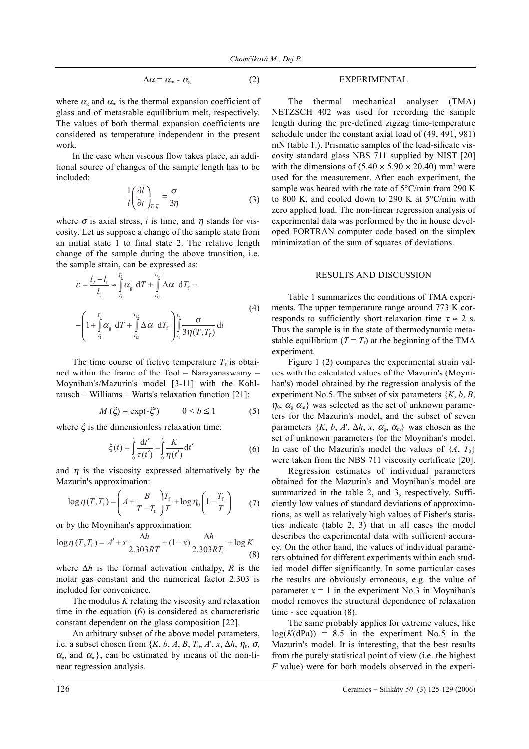$$
\Delta \alpha = \alpha_{\rm m} - \alpha_{\rm g} \tag{2}
$$

where  $\alpha_{\rm g}$  and  $\alpha_{\rm m}$  is the thermal expansion coefficient of glass and of metastable equilibrium melt, respectively. The values of both thermal expansion coefficients are considered as temperature independent in the present work.

In the case when viscous flow takes place, an additional source of changes of the sample length has to be included:

$$
\frac{1}{l} \left( \frac{\partial l}{\partial t} \right)_{T, T_t} = \frac{\sigma}{3\eta}
$$
 (3)

where  $\sigma$  is axial stress, *t* is time, and  $\eta$  stands for viscosity. Let us suppose a change of the sample state from an initial state 1 to final state 2. The relative length change of the sample during the above transition, i.e. the sample strain, can be expressed as:

$$
\varepsilon = \frac{l_2 - l_1}{l_1} \approx \int_{T_1}^{T_2} \alpha_{\rm g} dT + \int_{T_{\rm c1}}^{T_{\rm c2}} \Delta \alpha dT_{\rm f} -
$$
\n
$$
-\left(1 + \int_{T_1}^{T_2} \alpha_{\rm g} dT + \int_{T_{\rm c1}}^{T_{\rm c2}} \Delta \alpha dT_{\rm f}\right) \int_{t_1}^{t_2} \frac{\sigma}{3\eta(T, T_{\rm f})} dt
$$
\n(4)

The time course of fictive temperature  $T_f$  is obtained within the frame of the Tool – Narayanaswamy – Moynihan's/Mazurin's model [3-11] with the Kohlrausch – Williams – Watts's relaxation function [21]:

$$
M\left(\xi\right) = \exp\left(-\xi^b\right) \qquad 0 < b \le 1 \tag{5}
$$

where  $\xi$  is the dimensionless relaxation time:

$$
\xi(t) = \int_{0}^{t} \frac{dt'}{\tau(t')} = \int_{0}^{t} \frac{K}{\eta(t')} dt'
$$
 (6)

and  $\eta$  is the viscosity expressed alternatively by the Mazurin's approximation:

$$
\log \eta(T, T_{\rm f}) = \left(A + \frac{B}{T - T_0}\right) \frac{T_{\rm f}}{T} + \log \eta_0 \left(1 - \frac{T_{\rm f}}{T}\right) \tag{7}
$$

or by the Moynihan's approximation:

$$
\log \eta(T, T_{\rm f}) = A' + x \frac{\Delta h}{2.303RT} + (1 - x) \frac{\Delta h}{2.303RT_{\rm f}} + \log K
$$
\n(8)

where ∆*h* is the formal activation enthalpy, *R* is the molar gas constant and the numerical factor 2.303 is included for convenience.

The modulus *K* relating the viscosity and relaxation time in the equation (6) is considered as characteristic constant dependent on the glass composition [22].

An arbitrary subset of the above model parameters, i.e. a subset chosen from  $\{K, b, A, B, T_0, A', x, \Delta h, \eta_0, \sigma\}$  $\alpha_{\rm g}$ , and  $\alpha_{\rm m}$ , can be estimated by means of the non-linear regression analysis.

# EXPERIMENTAL

The thermal mechanical analyser (TMA) NETZSCH 402 was used for recording the sample length during the pre-defined zigzag time-temperature schedule under the constant axial load of (49, 491, 981) mN (table 1.). Prismatic samples of the lead-silicate viscosity standard glass NBS 711 supplied by NIST [20] with the dimensions of  $(5.40 \times 5.90 \times 20.40)$  mm<sup>3</sup> were used for the measurement. After each experiment, the sample was heated with the rate of 5°C/min from 290 K to 800 K, and cooled down to 290 K at 5°C/min with zero applied load. The non-linear regression analysis of experimental data was performed by the in house developed FORTRAN computer code based on the simplex minimization of the sum of squares of deviations.

#### RESULTS AND DISCUSSION

Table 1 summarizes the conditions of TMA experiments. The upper temperature range around 773 K corresponds to sufficiently short relaxation time  $\tau \approx 2$  s. Thus the sample is in the state of thermodynamic metastable equilibrium  $(T = T_f)$  at the beginning of the TMA experiment.

Figure 1 (2) compares the experimental strain values with the calculated values of the Mazurin's (Moynihan's) model obtained by the regression analysis of the experiment No.5. The subset of six parameters  $\{K, b, B, \}$  $\eta_0$ ,  $\alpha_{\rm s}$   $\alpha_{\rm m}$ } was selected as the set of unknown parameters for the Mazurin's model, and the subset of seven parameters  $\{K, b, A', \Delta h, x, \alpha_{\rm g}, \alpha_{\rm m}\}\$  was chosen as the set of unknown parameters for the Moynihan's model. In case of the Mazurin's model the values of  $\{A, T_0\}$ were taken from the NBS 711 viscosity certificate [20].

Regression estimates of individual parameters obtained for the Mazurin's and Moynihan's model are summarized in the table 2, and 3, respectively. Sufficiently low values of standard deviations of approximations, as well as relatively high values of Fisher's statistics indicate (table 2, 3) that in all cases the model describes the experimental data with sufficient accuracy. On the other hand, the values of individual parameters obtained for different experiments within each studied model differ significantly. In some particular cases the results are obviously erroneous, e.g. the value of parameter  $x = 1$  in the experiment No.3 in Moynihan's model removes the structural dependence of relaxation time - see equation (8).

The same probably applies for extreme values, like  $log(K(dPa)) = 8.5$  in the experiment No.5 in the Mazurin's model. It is interesting, that the best results from the purely statistical point of view (i.e. the highest *F* value) were for both models observed in the experi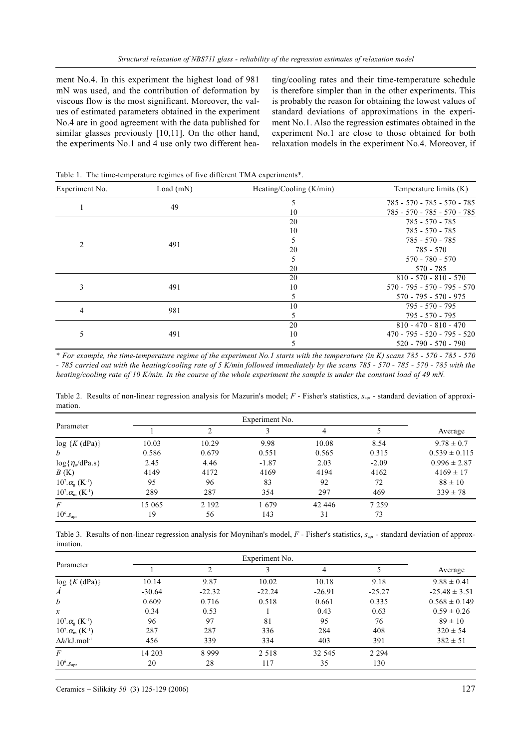ment No.4. In this experiment the highest load of 981 mN was used, and the contribution of deformation by viscous flow is the most significant. Moreover, the values of estimated parameters obtained in the experiment No.4 are in good agreement with the data published for similar glasses previously [10,11]. On the other hand, the experiments No.1 and 4 use only two different heating/cooling rates and their time-temperature schedule is therefore simpler than in the other experiments. This is probably the reason for obtaining the lowest values of standard deviations of approximations in the experiment No.1. Also the regression estimates obtained in the experiment No.1 are close to those obtained for both relaxation models in the experiment No.4. Moreover, if

| Experiment No. | Load $(mN)$ | Heating/Cooling $(K/min)$ | Temperature limits $(K)$      |  |
|----------------|-------------|---------------------------|-------------------------------|--|
|                | 49          | 5                         | 785 - 570 - 785 - 570 - 785   |  |
|                |             | 10                        | 785 - 570 - 785 - 570 - 785   |  |
| $\overline{c}$ |             | 20                        | 785 - 570 - 785               |  |
|                |             | 10                        | 785 - 570 - 785               |  |
|                | 491         | 5                         | 785 - 570 - 785               |  |
|                |             | 20                        | 785 - 570                     |  |
|                |             | 5                         | $570 - 780 - 570$             |  |
|                |             | 20                        | 570 - 785                     |  |
| 3              |             | 20                        | $810 - 570 - 810 - 570$       |  |
|                | 491         | 10                        | $570 - 795 - 570 - 795 - 570$ |  |
|                |             | 5                         | $570 - 795 - 570 - 975$       |  |
| 4              | 981         | 10                        | 795 - 570 - 795               |  |
|                |             | 5                         | $795 - 570 - 795$             |  |
| 5              |             | 20                        | $810 - 470 - 810 - 470$       |  |
|                | 491         | 10                        | $470 - 795 - 520 - 795 - 520$ |  |
|                |             | 5                         | $520 - 790 - 570 - 790$       |  |

Table 1. The time-temperature regimes of five different TMA experiments\*.

\* *For example, the time-temperature regime of the experiment No.1 starts with the temperature (in K) scans 785 - 570 - 785 - 570 - 785 carried out with the heating/cooling rate of 5 K/min followed immediately by the scans 785 - 570 - 785 - 570 - 785 with the heating/cooling rate of 10 K/min. In the course of the whole experiment the sample is under the constant load of 49 mN.*

Table 2. Results of non-linear regression analysis for Mazurin's model; *F* - Fisher's statistics,  $s_{\text{apr}}$  - standard deviation of approximation.

| Parameter                                |        | Experiment No. |         |         |         |                   |  |
|------------------------------------------|--------|----------------|---------|---------|---------|-------------------|--|
|                                          |        |                |         | 4       |         | Average           |  |
| $log$ { $K$ (dPa)}                       | 10.03  | 10.29          | 9.98    | 10.08   | 8.54    | $9.78 \pm 0.7$    |  |
| $\boldsymbol{b}$                         | 0.586  | 0.679          | 0.551   | 0.565   | 0.315   | $0.539 \pm 0.115$ |  |
| $\log{\{\eta_{o}/dPa.s\}}$               | 2.45   | 4.46           | $-1.87$ | 2.03    | $-2.09$ | $0.996 \pm 2.87$  |  |
| B(K)                                     | 4149   | 4172           | 4169    | 4194    | 4162    | $4169 \pm 17$     |  |
| $10^7 \alpha_{\rm g}$ (K <sup>-1</sup> ) | 95     | 96             | 83      | 92      | 72      | $88 \pm 10$       |  |
| $10^{7} \alpha_{m}$ (K <sup>-1</sup> )   | 289    | 287            | 354     | 297     | 469     | $339 \pm 78$      |  |
| F                                        | 15 065 | 2 1 9 2        | 1679    | 42 44 6 | 7 2 5 9 |                   |  |
| $10^6$ . $S_{\text{apr}}$                | 19     | 56             | 143     | 31      | 73      |                   |  |

Table 3. Results of non-linear regression analysis for Moynihan's model, F - Fisher's statistics,  $s_{\text{anr}}$  - standard deviation of approximation.

| Parameter                                  |          |          |          |          |          |                   |
|--------------------------------------------|----------|----------|----------|----------|----------|-------------------|
|                                            |          |          |          | 4        |          | Average           |
| $log {K(dPa)}$                             | 10.14    | 9.87     | 10.02    | 10.18    | 9.18     | $9.88 \pm 0.41$   |
| $\overline{A}$                             | $-30.64$ | $-22.32$ | $-22.24$ | $-26.91$ | $-25.27$ | $-25.48 \pm 3.51$ |
| b                                          | 0.609    | 0.716    | 0.518    | 0.661    | 0.335    | $0.568 \pm 0.149$ |
| $\mathcal{X}$                              | 0.34     | 0.53     |          | 0.43     | 0.63     | $0.59 \pm 0.26$   |
| $10^{7} \alpha_{\rm g}$ (K <sup>-1</sup> ) | 96       | 97       | 81       | 95       | 76       | $89 \pm 10$       |
| $10^{7} \alpha_{m}$ (K <sup>-1</sup> )     | 287      | 287      | 336      | 284      | 408      | $320 \pm 54$      |
| $\Delta h$ /kJ.mol <sup>-1</sup>           | 456      | 339      | 334      | 403      | 391      | $382 \pm 51$      |
| $\overline{F}$                             | 14 203   | 8999     | 2 5 1 8  | 32 545   | 2 2 9 4  |                   |
| $10^6$ . $S_{\text{apr}}$                  | 20       | 28       | 117      | 35       | 130      |                   |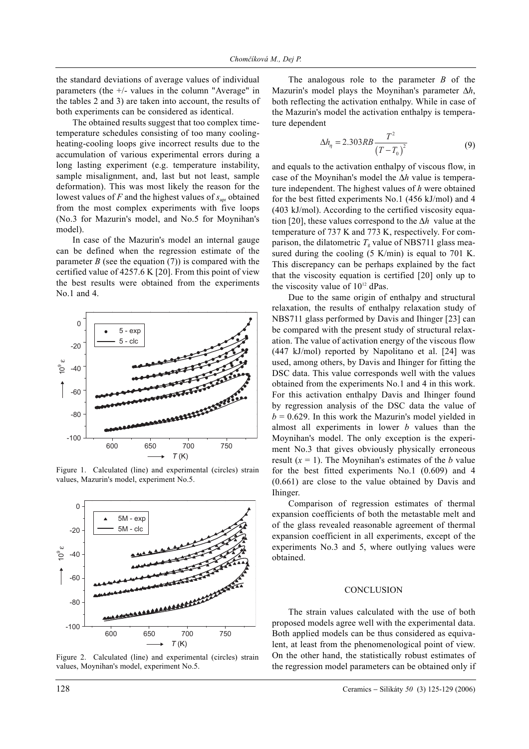the standard deviations of average values of individual parameters (the +/- values in the column "Average" in the tables 2 and 3) are taken into account, the results of both experiments can be considered as identical.

The obtained results suggest that too complex timetemperature schedules consisting of too many coolingheating-cooling loops give incorrect results due to the accumulation of various experimental errors during a long lasting experiment (e.g. temperature instability, sample misalignment, and, last but not least, sample deformation). This was most likely the reason for the lowest values of  $F$  and the highest values of  $s_{\text{anr}}$  obtained from the most complex experiments with five loops (No.3 for Mazurin's model, and No.5 for Moynihan's model).

In case of the Mazurin's model an internal gauge can be defined when the regression estimate of the parameter *B* (see the equation  $(7)$ ) is compared with the certified value of 4257.6 K [20]. From this point of view the best results were obtained from the experiments No.1 and 4.



Figure 1. Calculated (line) and experimental (circles) strain values, Mazurin's model, experiment No.5.



Figure 2. Calculated (line) and experimental (circles) strain values, Moynihan's model, experiment No.5.

The analogous role to the parameter *B* of the Mazurin's model plays the Moynihan's parameter ∆*h*, both reflecting the activation enthalpy. While in case of the Mazurin's model the activation enthalpy is temperature dependent

$$
\Delta h_{\eta} = 2.303RB \frac{T^2}{(T - T_0)^2}
$$
 (9)

and equals to the activation enthalpy of viscous flow, in case of the Moynihan's model the ∆*h* value is temperature independent. The highest values of *h* were obtained for the best fitted experiments No.1 (456 kJ/mol) and 4 (403 kJ/mol). According to the certified viscosity equation [20], these values correspond to the ∆*h* value at the temperature of 737 K and 773 K, respectively. For comparison, the dilatometric  $T_{\rm g}$  value of NBS711 glass measured during the cooling (5 K/min) is equal to 701 K. This discrepancy can be perhaps explained by the fact that the viscosity equation is certified [20] only up to the viscosity value of 10<sup>12</sup> dPas.

Due to the same origin of enthalpy and structural relaxation, the results of enthalpy relaxation study of NBS711 glass performed by Davis and Ihinger [23] can be compared with the present study of structural relaxation. The value of activation energy of the viscous flow (447 kJ/mol) reported by Napolitano et al. [24] was used, among others, by Davis and Ihinger for fitting the DSC data. This value corresponds well with the values obtained from the experiments No.1 and 4 in this work. For this activation enthalpy Davis and Ihinger found by regression analysis of the DSC data the value of  $b = 0.629$ . In this work the Mazurin's model yielded in almost all experiments in lower *b* values than the Moynihan's model. The only exception is the experiment No.3 that gives obviously physically erroneous result  $(x = 1)$ . The Moynihan's estimates of the *b* value for the best fitted experiments No.1 (0.609) and 4 (0.661) are close to the value obtained by Davis and Ihinger.

Comparison of regression estimates of thermal expansion coefficients of both the metastable melt and of the glass revealed reasonable agreement of thermal expansion coefficient in all experiments, except of the experiments No.3 and 5, where outlying values were obtained.

# **CONCLUSION**

The strain values calculated with the use of both proposed models agree well with the experimental data. Both applied models can be thus considered as equivalent, at least from the phenomenological point of view. On the other hand, the statistically robust estimates of the regression model parameters can be obtained only if